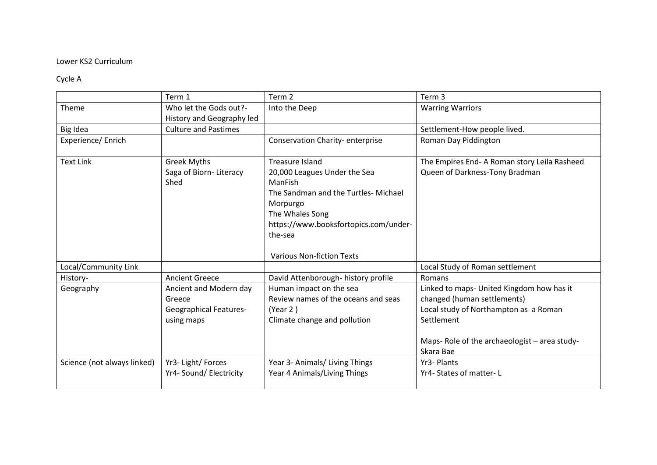## Lower KS2 Curriculum

## Cycle A

|                             | Term 1                                                                          | Term 2                                                                                                                             | Term <sub>3</sub>                                                                                                               |
|-----------------------------|---------------------------------------------------------------------------------|------------------------------------------------------------------------------------------------------------------------------------|---------------------------------------------------------------------------------------------------------------------------------|
| Theme                       | Who let the Gods out?-                                                          | Into the Deep                                                                                                                      | <b>Warring Warriors</b>                                                                                                         |
|                             | History and Geography led                                                       |                                                                                                                                    |                                                                                                                                 |
| Big Idea                    | <b>Culture and Pastimes</b>                                                     |                                                                                                                                    | Settlement-How people lived.                                                                                                    |
| Experience/Enrich           |                                                                                 | Conservation Charity-enterprise                                                                                                    | Roman Day Piddington                                                                                                            |
| <b>Text Link</b>            | <b>Greek Myths</b><br>Saga of Biorn-Literacy                                    | <b>Treasure Island</b><br>20,000 Leagues Under the Sea                                                                             | The Empires End- A Roman story Leila Rasheed<br>Queen of Darkness-Tony Bradman                                                  |
|                             | Shed                                                                            | ManFish<br>The Sandman and the Turtles- Michael<br>Morpurgo<br>The Whales Song<br>https://www.booksfortopics.com/under-<br>the-sea |                                                                                                                                 |
|                             |                                                                                 | <b>Various Non-fiction Texts</b>                                                                                                   |                                                                                                                                 |
| Local/Community Link        |                                                                                 |                                                                                                                                    | Local Study of Roman settlement                                                                                                 |
| History-                    | <b>Ancient Greece</b>                                                           | David Attenborough- history profile                                                                                                | Romans                                                                                                                          |
| Geography                   | Ancient and Modern day<br>Greece<br><b>Geographical Features-</b><br>using maps | Human impact on the sea<br>Review names of the oceans and seas<br>(Year 2)<br>Climate change and pollution                         | Linked to maps- United Kingdom how has it<br>changed (human settlements)<br>Local study of Northampton as a Roman<br>Settlement |
|                             |                                                                                 |                                                                                                                                    | Maps-Role of the archaeologist - area study-<br>Skara Bae                                                                       |
| Science (not always linked) | Yr3-Light/Forces                                                                | Year 3- Animals/ Living Things                                                                                                     | Yr3- Plants                                                                                                                     |
|                             | Yr4- Sound/ Electricity                                                         | Year 4 Animals/Living Things                                                                                                       | Yr4-States of matter-L                                                                                                          |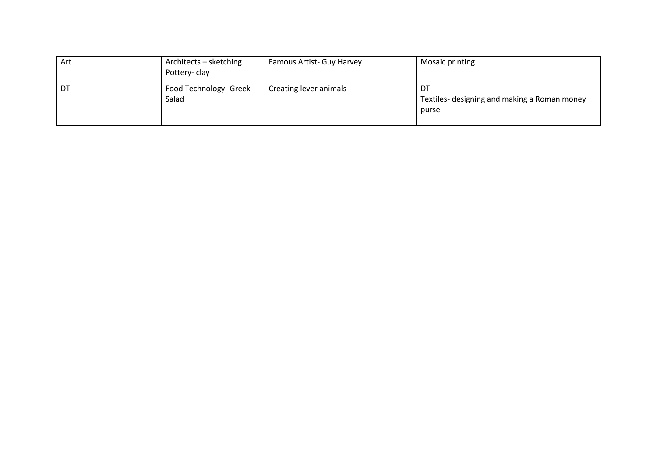| Art | Architects – sketching<br>Pottery-clay | Famous Artist- Guy Harvey | <b>Mosaic printing</b>                                       |
|-----|----------------------------------------|---------------------------|--------------------------------------------------------------|
| DT  | Food Technology- Greek<br>Salad        | Creating lever animals    | DT-<br>Textiles- designing and making a Roman money<br>purse |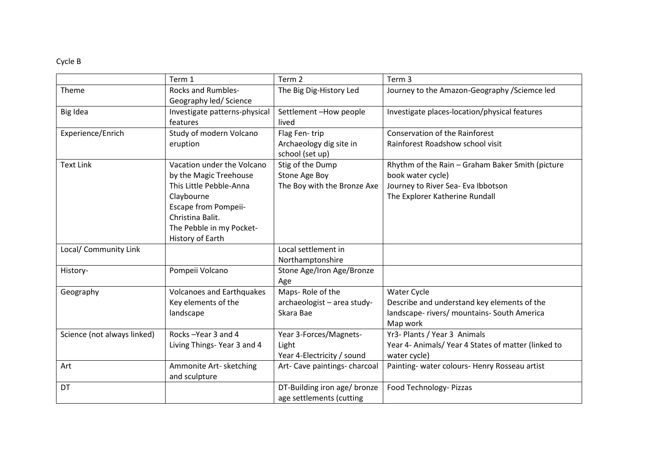## Cycle B

|                             | Term 1                           | Term 2                        | Term 3                                             |
|-----------------------------|----------------------------------|-------------------------------|----------------------------------------------------|
| Theme                       | <b>Rocks and Rumbles-</b>        | The Big Dig-History Led       | Journey to the Amazon-Geography / Sciemce led      |
|                             | Geography led/ Science           |                               |                                                    |
| Big Idea                    | Investigate patterns-physical    | Settlement-How people         | Investigate places-location/physical features      |
|                             | features                         | lived                         |                                                    |
| Experience/Enrich           | Study of modern Volcano          | Flag Fen-trip                 | <b>Conservation of the Rainforest</b>              |
|                             | eruption                         | Archaeology dig site in       | Rainforest Roadshow school visit                   |
|                             |                                  | school (set up)               |                                                    |
| <b>Text Link</b>            | Vacation under the Volcano       | Stig of the Dump              | Rhythm of the Rain - Graham Baker Smith (picture   |
|                             | by the Magic Treehouse           | Stone Age Boy                 | book water cycle)                                  |
|                             | This Little Pebble-Anna          | The Boy with the Bronze Axe   | Journey to River Sea- Eva Ibbotson                 |
|                             | Claybourne                       |                               | The Explorer Katherine Rundall                     |
|                             | <b>Escape from Pompeii-</b>      |                               |                                                    |
|                             | Christina Balit.                 |                               |                                                    |
|                             | The Pebble in my Pocket-         |                               |                                                    |
|                             | History of Earth                 |                               |                                                    |
| Local/ Community Link       |                                  | Local settlement in           |                                                    |
|                             |                                  | Northamptonshire              |                                                    |
| History-                    | Pompeii Volcano                  | Stone Age/Iron Age/Bronze     |                                                    |
|                             |                                  | Age                           |                                                    |
| Geography                   | <b>Volcanoes and Earthquakes</b> | Maps-Role of the              | Water Cycle                                        |
|                             | Key elements of the              | archaeologist - area study-   | Describe and understand key elements of the        |
|                             | landscape                        | Skara Bae                     | landscape- rivers/ mountains- South America        |
|                             |                                  |                               | Map work                                           |
| Science (not always linked) | Rocks-Year 3 and 4               | Year 3-Forces/Magnets-        | Yr3- Plants / Year 3 Animals                       |
|                             | Living Things-Year 3 and 4       | Light                         | Year 4- Animals/Year 4 States of matter (linked to |
|                             |                                  | Year 4-Electricity / sound    | water cycle)                                       |
| Art                         | Ammonite Art- sketching          | Art- Cave paintings- charcoal | Painting- water colours- Henry Rosseau artist      |
|                             | and sculpture                    |                               |                                                    |
| DT                          |                                  | DT-Building iron age/ bronze  | Food Technology- Pizzas                            |
|                             |                                  | age settlements (cutting      |                                                    |